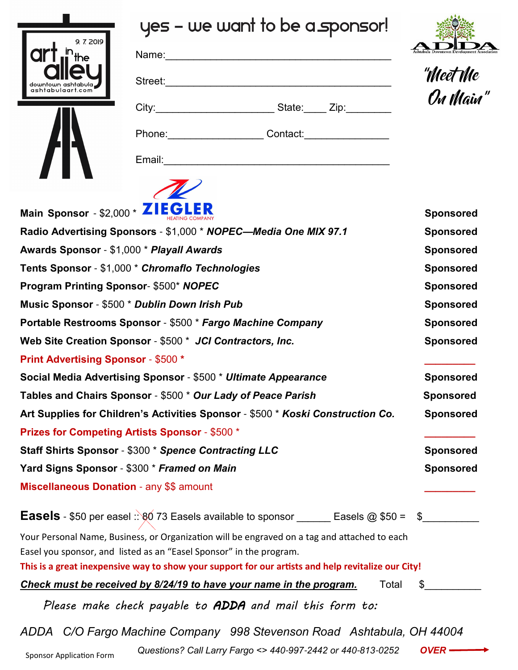

## yes - we want to be a sponsor!

| Ashtabula Downtown Development Association |  |
|--------------------------------------------|--|

 $A 0 A$ 

| "Meet Me |  |
|----------|--|
| On Main" |  |



| Name:               |                               |
|---------------------|-------------------------------|
| Street:             |                               |
|                     | State: Zip:                   |
| Phone: <u>_____</u> | Contact: <u>_____________</u> |
| Email:              |                               |



| Main Sponsor - \$2,000 * ZIEGLER                                                                                                                                                                                                                                          | <b>Sponsored</b> |
|---------------------------------------------------------------------------------------------------------------------------------------------------------------------------------------------------------------------------------------------------------------------------|------------------|
| Radio Advertising Sponsors - \$1,000 * NOPEC-Media One MIX 97.1                                                                                                                                                                                                           | <b>Sponsored</b> |
| Awards Sponsor - \$1,000 * Playall Awards                                                                                                                                                                                                                                 | <b>Sponsored</b> |
| Tents Sponsor - \$1,000 * Chromaflo Technologies                                                                                                                                                                                                                          | <b>Sponsored</b> |
| Program Printing Sponsor-\$500* NOPEC                                                                                                                                                                                                                                     | <b>Sponsored</b> |
| Music Sponsor - \$500 * Dublin Down Irish Pub                                                                                                                                                                                                                             | <b>Sponsored</b> |
| Portable Restrooms Sponsor - \$500 * Fargo Machine Company                                                                                                                                                                                                                | <b>Sponsored</b> |
| Web Site Creation Sponsor - \$500 * JCI Contractors, Inc.                                                                                                                                                                                                                 | <b>Sponsored</b> |
| <b>Print Advertising Sponsor - \$500 *</b>                                                                                                                                                                                                                                |                  |
| Social Media Advertising Sponsor - \$500 * Ultimate Appearance                                                                                                                                                                                                            | <b>Sponsored</b> |
| Tables and Chairs Sponsor - \$500 * Our Lady of Peace Parish                                                                                                                                                                                                              | <b>Sponsored</b> |
| Art Supplies for Children's Activities Sponsor - \$500 * Koski Construction Co.                                                                                                                                                                                           | <b>Sponsored</b> |
| <b>Prizes for Competing Artists Sponsor - \$500 *</b>                                                                                                                                                                                                                     |                  |
| Staff Shirts Sponsor - \$300 * Spence Contracting LLC                                                                                                                                                                                                                     | <b>Sponsored</b> |
| Yard Signs Sponsor - \$300 * Framed on Main                                                                                                                                                                                                                               | <b>Sponsored</b> |
| <b>Miscellaneous Donation - any \$\$ amount</b>                                                                                                                                                                                                                           |                  |
| <b>Easels</b> - \$50 per easel :: $80$ 73 Easels available to sponsor ______ Easels @ \$50 =                                                                                                                                                                              |                  |
| Your Personal Name, Business, or Organization will be engraved on a tag and attached to each<br>Easel you sponsor, and listed as an "Easel Sponsor" in the program.<br>This is a great inexpensive way to show your support for our artists and help revitalize our City! |                  |
| Total<br>Check must be received by 8/24/19 to have your name in the program.                                                                                                                                                                                              | \$               |
| Please make check payable to ADDA and mail this form to:                                                                                                                                                                                                                  |                  |

*ADDA C/O Fargo Machine Company 998 Stevenson Road Ashtabula, OH 44004*

*Questions? Call Larry Fargo <> 440-997-2442 or 440-813-0252 <b>OVER -*